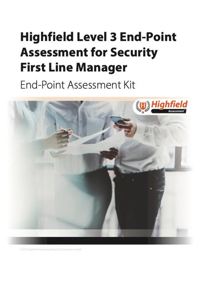# <span id="page-0-0"></span>**Highfield Level 3 End-Point Assessment for Security First Line Manager**

End-Point Assessment Kit



D 2019 Nghheld Awarding Body for Compliance Limited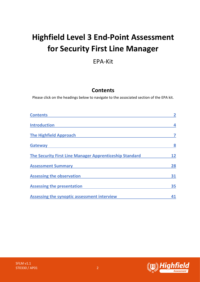# <span id="page-1-1"></span>**Highfield Level 3 End-Point Assessment for Security First Line Manager**

# EPA-Kit

# **Contents**

<span id="page-1-0"></span>Please click on the headings below to navigate to the associated section of the EPA kit.

| <b>Contents</b>                                         |    |
|---------------------------------------------------------|----|
| <b>Introduction</b>                                     | 4  |
| <b>The Highfield Approach</b>                           |    |
| <b>Gateway</b>                                          | 8  |
| The Security First Line Manager Apprenticeship Standard | 12 |
| <b>Assessment Summary</b>                               | 28 |
| <b>Assessing the observation</b>                        | 31 |
| <b>Assessing the presentation</b>                       | 35 |
| Assessing the synoptic assessment interview             |    |

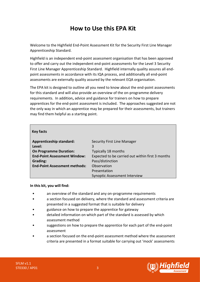# **How to Use this EPA Kit**

Welcome to the Highfield End-Point Assessment Kit for the Security First Line Manager Apprenticeship Standard.

Highfield is an independent end-point assessment organisation that has been approved to offer and carry out the independent end-point assessments for the Level 3 Security First Line Manager Apprenticeship Standard. Highfield internally quality assures all endpoint assessments in accordance with its IQA process, and additionally all end-point assessments are externally quality assured by the relevant EQA organisation.

The EPA kit is designed to outline all you need to know about the end-point assessments for this standard and will also provide an overview of the on-programme delivery requirements. In addition**,** advice and guidance for trainers on how to prepare apprentices for the end-point assessment is included. The approaches suggested are not the only way in which an apprentice may be prepared for their assessments, but trainers may find them helpful as a starting point.

| <b>Key facts</b>                     |                                                  |
|--------------------------------------|--------------------------------------------------|
| <b>Apprenticeship standard:</b>      | Security First Line Manager                      |
| Level:                               | 3                                                |
| <b>On Programme Duration:</b>        | Typically 18 months                              |
| <b>End-Point Assessment Window:</b>  | Expected to be carried out within first 3 months |
| Grading:                             | Pass/distinction                                 |
| <b>End-Point Assessment methods:</b> | Observation                                      |
|                                      | Presentation                                     |
|                                      | <b>Synoptic Assessment Interview</b>             |

#### **In this kit, you will find:**

- an overview of the standard and any on-programme requirements
- a section focused on delivery, where the standard and assessment criteria are presented in a suggested format that is suitable for delivery
- guidance on how to prepare the apprentice for gateway
- detailed information on which part of the standard is assessed by which assessment method
- suggestions on how to prepare the apprentice for each part of the end-point assessment
- a section focused on the end-point assessment method where the assessment criteria are presented in a format suitable for carrying out 'mock' assessments

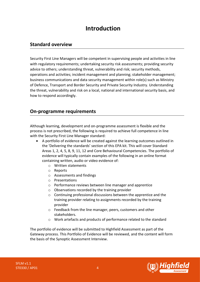# **Introduction**

### <span id="page-3-0"></span>**Standard overview**

Security First Line Managers will be competent in supervising people and activities in line with regulatory requirements; undertaking security risk assessments; providing security advice to others; understanding threat, vulnerability and risk; security methods, operations and activities; incident management and planning; stakeholder management; business communications and data security management within role(s) such as Ministry of Defence, Transport and Border Security and Private Security Industry. Understanding the threat, vulnerability and risk on a local, national and international security basis, and how to respond accordingly.

# **On-programme requirements**

Although learning, development and on-programme assessment is flexible and the process is not prescribed, the following is required to achieve full competence in line with the Security First Line Manager standard:

- A portfolio of evidence will be created against the learning outcomes outlined in the 'Delivering the standards' section of this EPA kit. This will cover Standard Areas 1, 2, 4, 5, 8, 9, 11, 12 and Core Behavioural Competencies. The portfolio of evidence will typically contain examples of the following in an online format containing written, audio or video evidence of:
	- o Written statements
	- o Reports
	- o Assessments and findings
	- o Presentations
	- o Performance reviews between line manager and apprentice
	- o Observations recorded by the training provider
	- o Continuing professional discussions between the apprentice and the training provider relating to assignments recorded by the training provider
	- o Feedback from the line manager, peers, customers and other stakeholders.
	- o Work artefacts and products of performance related to the standard

The portfolio of evidence will be submitted to Highfield Assessment as part of the Gateway process. This Portfolio of Evidence will be reviewed, and the content will form the basis of the Synoptic Assessment Interview.

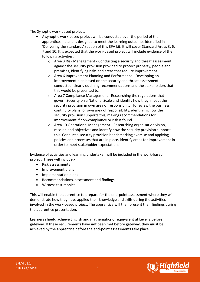The Synoptic work-based project:

- A synoptic work-based project will be conducted over the period of the apprenticeship and is designed to meet the learning outcomes identified in 'Delivering the standards' section of this EPA kit. It will cover Standard Areas 3, 6, 7 and 10. It is expected that the work-based project will include evidence of the following activities:
	- o Area 3 Risk Management Conducting a security and threat assessment against the security provision provided to protect property, people and premises, identifying risks and areas that require improvement
	- o Area 6 Improvement Planning and Performance Developing an improvement plan based on the security and threat assessment conducted, clearly outlining recommendations and the stakeholders that this would be presented to.
	- o Area 7 Compliance Management Researching the regulations that govern Security on a National Scale and identify how they impact the security provision in own area of responsibility. To review the business continuity plans for own area of responsibility, identifying how the security provision supports this, making recommendations for improvement if non-compliance or risk is found.
	- o Area 10 Operational Management Researching organisation vision, mission and objectives and identify how the security provision supports this. Conduct a security provision benchmarking exercise and applying policies and processes that are in place, identify areas for improvement in order to meet stakeholder expectations

Evidence of activities and learning undertaken will be included in the work-based project. These will include:-

- Risk assessments
- Improvement plans
- Implementation plans
- Recommendations, assessment and findings
- Witness testimonies

This will enable the apprentice to prepare for the end-point assessment where they will demonstrate how they have applied their knowledge and skills during the activities involved in the work-based project. The apprentice will then present their findings during the apprentice presentation.

Learners **should** achieve English and mathematics or equivalent at Level 2 before gateway. If these requirements have **not** been met before gateway, they **must** be achieved by the apprentice before the end-point assessments take place.

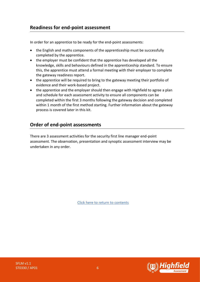# **Readiness for end-point assessment**

In order for an apprentice to be ready for the end-point assessments:

- the English and maths components of the apprenticeship must be successfully completed by the apprentice.
- the employer must be confident that the apprentice has developed all the knowledge, skills and behaviours defined in the apprenticeship standard. To ensure this, the apprentice must attend a formal meeting with their employer to complete the gateway readiness report.
- the apprentice will be required to bring to the gateway meeting their portfolio of evidence and their work-based project.
- the apprentice and the employer should then engage with Highfield to agree a plan and schedule for each assessment activity to ensure all components can be completed within the first 3 months following the gateway decision and completed within 1 month of the first method starting. Further information about the gateway process is covered later in this kit.

# **Order of end-point assessments**

There are 3 assessment activities for the security first line manager end-point assessment. The observation, presentation and synoptic assessment interview may be undertaken in any order.

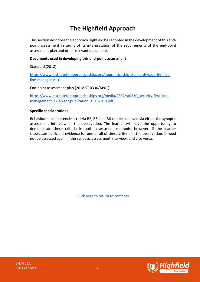# **The Highfield Approach**

<span id="page-6-0"></span>This section describes the approach Highfield has adopted in the development of this endpoint assessment in terms of its interpretation of the requirements of the end-point assessment plan and other relevant documents.

#### **Documents used in developing this end-point assessment**

Standard (2018)

[https://www.instituteforapprenticeships.org/apprenticeship-standards/security-first](https://www.instituteforapprenticeships.org/apprenticeship-standards/security-first-line-manager-v1-0)[line-manager-v1-0](https://www.instituteforapprenticeships.org/apprenticeship-standards/security-first-line-manager-v1-0)

End-point assessment plan (2018 ST 0330/AP01)

[https://www.instituteforapprenticeships.org/media/2352/st0330\\_security-first-line](https://www.instituteforapprenticeships.org/media/2352/st0330_security-first-line-management_l3_ap-for-publication_15102018.pdf)[management\\_l3\\_ap-for-publication\\_15102018.pdf](https://www.instituteforapprenticeships.org/media/2352/st0330_security-first-line-management_l3_ap-for-publication_15102018.pdf)

#### **Specific considerations**

Behavioural competencies criteria B2, B5, and B6 can be achieved via either the synoptic assessment interview or the observation. The learner will have the opportunity to demonstrate these criteria in both assessment methods, however, if the learner showcases sufficient evidence for one or all of these criteria in the observation, it need not be assessed again in the synoptic assessment interview, and vice versa.



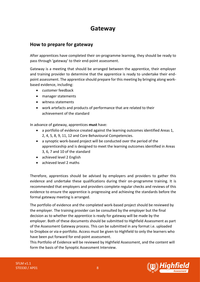# <span id="page-7-0"></span>**Gateway**

# **How to prepare for gateway**

After apprentices have completed their on-programme learning, they should be ready to pass through 'gateway' to their end-point assessment.

Gateway is a meeting that should be arranged between the apprentice, their employer and training provider to determine that the apprentice is ready to undertake their endpoint assessment. The apprentice should prepare for this meeting by bringing along workbased evidence, including:

- customer feedback
- manager statements
- witness statements
- work artefacts and products of performance that are related to their achievement of the standard

In advance of gateway, apprentices **must** have:

- a portfolio of evidence created against the learning outcomes identified Areas 1, 2, 4, 5, 8, 9, 11, 12 and Core Behavioural Competencies.
- a synoptic work-based project will be conducted over the period of the apprenticeship and is designed to meet the learning outcomes identified in Areas 3, 6, 7 and 10 of the standard
- achieved level 2 English
- achieved level 2 maths

Therefore, apprentices should be advised by employers and providers to gather this evidence and undertake these qualifications during their on-programme training. It is recommended that employers and providers complete regular checks and reviews of this evidence to ensure the apprentice is progressing and achieving the standards before the formal gateway meeting is arranged.

The portfolio of evidence and the completed work-based project should be reviewed by the employer. The training provider can be consulted by the employer but the final decision as to whether the apprentice is ready for gateway will be made by the employer. Both of these documents should be submitted to Highfield Assessment as part of the Assessment Gateway process. This can be submitted in any format i.e. uploaded to Dropbox or via e-portfolio. Access must be given to Highfield to only the learners who have been put forward for end-point assessment.

This Portfolio of Evidence will be reviewed by Highfield Assessment, and the content will form the basis of the Synoptic Assessment Interview.

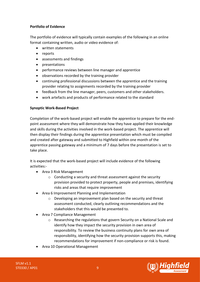#### **Portfolio of Evidence**

The portfolio of evidence will typically contain examples of the following in an online format containing written, audio or video evidence of:

- written statements
- reports
- assessments and findings
- presentations
- performance reviews between line manager and apprentice
- observations recorded by the training provider
- continuing professional discussions between the apprentice and the training provider relating to assignments recorded by the training provider
- feedback from the line manager, peers, customers and other stakeholders.
- work artefacts and products of performance related to the standard

#### **Synoptic Work-Based Project**

Completion of the work-based project will enable the apprentice to prepare for the endpoint assessment where they will demonstrate how they have applied their knowledge and skills during the activities involved in the work-based project. The apprentice will then display their findings during the apprentice presentation which must be compiled and created after gateway and submitted to Highfield within one month of the apprentice passing gateway and a minimum of 7 days before the presentation is set to take place.

It is expected that the work-based project will include evidence of the following activities:-

- Area 3 Risk Management
	- o Conducting a security and threat assessment against the security provision provided to protect property, people and premises, identifying risks and areas that require improvement
- Area 6 Improvement Planning and Implementation
	- o Developing an improvement plan based on the security and threat assessment conducted, clearly outlining recommendations and the stakeholders that this would be presented to.
- Area 7 Compliance Management
	- o Researching the regulations that govern Security on a National Scale and identify how they impact the security provision in own area of responsibility. To review the business continuity plans for own area of responsibility, identifying how the security provision supports this, making recommendations for improvement if non-compliance or risk is found.
- Area 10 Operational Management

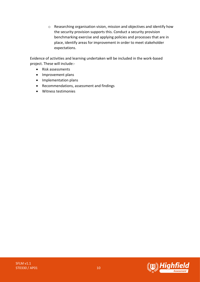o Researching organisation vision, mission and objectives and identify how the security provision supports this. Conduct a security provision benchmarking exercise and applying policies and processes that are in place, identify areas for improvement in order to meet stakeholder expectations.

Evidence of activities and learning undertaken will be included in the work-based project. These will include:-

- Risk assessments
- Improvement plans
- Implementation plans
- Recommendations, assessment and findings
- Witness testimonies

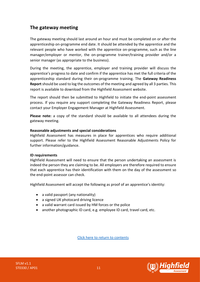# **The gateway meeting**

The gateway meeting should last around an hour and must be completed on or after the apprenticeship on-programme end date. It should be attended by the apprentice and the relevant people who have worked with the apprentice on-programme, such as the line manager/employer or mentor, the on-programme trainer/training provider and/or a senior manager (as appropriate to the business).

During the meeting, the apprentice, employer and training provider will discuss the apprentice's progress to date and confirm if the apprentice has met the full criteria of the apprenticeship standard during their on-programme training. The **Gateway Readiness Report** should be used to log the outcomes of the meeting and agreed by all 3 parties. This report is available to download from the Highfield Assessment website.

The report should then be submitted to Highfield to initiate the end-point assessment process. If you require any support completing the Gateway Readiness Report, please contact your Employer Engagement Manager at Highfield Assessment.

**Please note:** a copy of the standard should be available to all attendees during the gateway meeting.

#### **Reasonable adjustments and special considerations**

Highfield Assessment has measures in place for apprentices who require additional support. Please refer to the Highfield Assessment Reasonable Adjustments Policy for further information/guidance.

#### **ID requirements**

Highfield Assessment will need to ensure that the person undertaking an assessment is indeed the person they are claiming to be. All employers are therefore required to ensure that each apprentice has their identification with them on the day of the assessment so the end-point assessor can check.

Highfield Assessment will accept the following as proof of an apprentice's identity:

- a valid passport (any nationality)
- a signed UK photocard driving licence
- a valid warrant card issued by HM forces or the police
- another photographic ID card, e.g. employee ID card, travel card, etc.



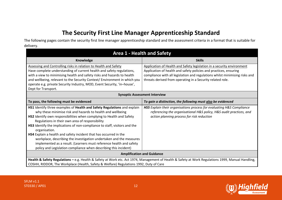# **The Security First Line Manager Apprenticeship Standard**

The following pages contain the security first line manager apprenticeship standard and the assessment criteria in a format that is suitable for delivery.

<span id="page-11-0"></span>

| <b>Area 1 - Health and Safety</b>                                                                                                                                                                                                                                                                                                                                                                                                                                                                                                                                                                                                                         |                                                                                                                                                                                                                                                                                          |
|-----------------------------------------------------------------------------------------------------------------------------------------------------------------------------------------------------------------------------------------------------------------------------------------------------------------------------------------------------------------------------------------------------------------------------------------------------------------------------------------------------------------------------------------------------------------------------------------------------------------------------------------------------------|------------------------------------------------------------------------------------------------------------------------------------------------------------------------------------------------------------------------------------------------------------------------------------------|
| Knowledge                                                                                                                                                                                                                                                                                                                                                                                                                                                                                                                                                                                                                                                 | <b>Skills</b>                                                                                                                                                                                                                                                                            |
| Assessing and Controlling risks in relation to Health and Safety<br>Have complete understanding of current health and safety regulations,<br>with a view to minimising health and safety risks and hazards to health<br>and wellbeing, relevant to the Security Context/ Environment in which you<br>operate e.g. private Security Industry, MOD, Event Security, 'in-house',<br>Dept for Transport.                                                                                                                                                                                                                                                      | Application of Health and Safety legislation in a security environment<br>Application of health and safety policies and practices, ensuring<br>compliance with all legislation and regulations whilst minimising risks and<br>threats derived from operating in a Security related role. |
| <b>Synoptic Assessment Interview</b>                                                                                                                                                                                                                                                                                                                                                                                                                                                                                                                                                                                                                      |                                                                                                                                                                                                                                                                                          |
| To pass, the following must be evidenced                                                                                                                                                                                                                                                                                                                                                                                                                                                                                                                                                                                                                  | To gain a distinction, the following must also be evidenced                                                                                                                                                                                                                              |
| HS1 Identify three examples of Health and Safety Regulations and explain<br>why these minimise risk and hazards to health and wellbeing<br>HS2 Identify own responsibilities when complying to Health and Safety<br>Regulations in their own area of responsibility<br>HS3 Identify the implications of non-compliance to staff, visitors and the<br>organisation.<br>HS4 Explain a health and safety incident that has occurred in the<br>workplace, describing the investigation undertaken and the measures<br>implemented as a result. (Learners must reference health and safety<br>policy and Legislation compliance when describing this incident) | HS5 Explain their organisations process for evaluating H&S Compliance<br>referencing the organisational H&S policy, H&S audit practices, and<br>action planning process for risk reduction                                                                                               |
| <b>Amplification and Guidance</b>                                                                                                                                                                                                                                                                                                                                                                                                                                                                                                                                                                                                                         |                                                                                                                                                                                                                                                                                          |
| Health & Safety Regulations - e.g. Health & Safety at Work etc. Act 1974, Management of Health & Safety at Work Regulations 1999, Manual Handling,<br>COSHH, RIDDOR, The Workplace (Health, Safety & Welfare) Regulations 1992, Duty of Care                                                                                                                                                                                                                                                                                                                                                                                                              |                                                                                                                                                                                                                                                                                          |

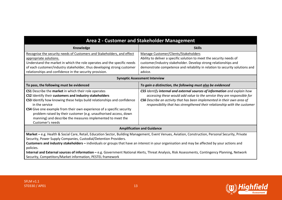| Area 2 - Customer and Stakeholder Management                                                                                                                                                                   |                                                                                                                                                      |
|----------------------------------------------------------------------------------------------------------------------------------------------------------------------------------------------------------------|------------------------------------------------------------------------------------------------------------------------------------------------------|
| Knowledge                                                                                                                                                                                                      | <b>Skills</b>                                                                                                                                        |
| Recognise the security needs of Customers and Stakeholders, and effect                                                                                                                                         | Manage Customer/Clients/Stakeholders                                                                                                                 |
| appropriate solutions.                                                                                                                                                                                         | Ability to deliver a specific solution to meet the security needs of                                                                                 |
| Understand the market in which the role operates and the specific needs                                                                                                                                        | customer/industry stakeholder. Develop strong relationships and                                                                                      |
| of each customer/industry stakeholder, thus developing strong customer                                                                                                                                         | demonstrate competence and reliability in relation to security solutions and                                                                         |
| relationships and confidence in the security provision.                                                                                                                                                        | advice.                                                                                                                                              |
| <b>Synoptic Assessment Interview</b>                                                                                                                                                                           |                                                                                                                                                      |
| To pass, the following must be evidenced                                                                                                                                                                       | To gain a distinction, the following must also be evidenced                                                                                          |
| CS1 Describe the market in which their role operates                                                                                                                                                           | CS5 Identify internal and external sources of information and explain how                                                                            |
| CS2 Identify their customers and industry stakeholders                                                                                                                                                         | accessing these would add value to the service they are responsible for                                                                              |
| CS3 Identify how knowing these helps build relationships and confidence<br>in the service                                                                                                                      | CS6 Describe an activity that has been implemented in their own area of<br>responsibility that has strengthened their relationship with the customer |
| CS4 Give one example from their own experience of a specific security                                                                                                                                          |                                                                                                                                                      |
| problem raised by their customer (e.g. unauthorised access, down                                                                                                                                               |                                                                                                                                                      |
| manning) and describe the measures implemented to meet the                                                                                                                                                     |                                                                                                                                                      |
| Customer's needs                                                                                                                                                                                               |                                                                                                                                                      |
| <b>Amplification and Guidance</b>                                                                                                                                                                              |                                                                                                                                                      |
| Market - e.g. Health & Social Care, Retail, Education Sector, Building Management, Event Venues, Aviation, Construction, Personal Security, Private                                                            |                                                                                                                                                      |
| Security, Power Supply Companies, Custodial/Detention Providers.                                                                                                                                               |                                                                                                                                                      |
| Customers and industry stakeholders - individuals or groups that have an interest in your organisation and may be affected by your actions and                                                                 |                                                                                                                                                      |
| policies.                                                                                                                                                                                                      |                                                                                                                                                      |
| Internal and External sources of information - e.g. Government National Alerts, Threat Analysis, Risk Assessments, Contingency Planning, Network<br>Security, Competitors/Market information, PESTEL framework |                                                                                                                                                      |
|                                                                                                                                                                                                                |                                                                                                                                                      |

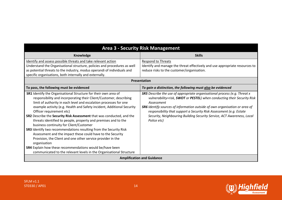| <b>Area 3 - Security Risk Management</b>                                                                                                                                                                                                                                                                                                                                                                                                                                                                                                                                                                                                                                                                                                                                                                                                                           |                                                                                                                                                                                                                                                                                                                                                                                                                                |
|--------------------------------------------------------------------------------------------------------------------------------------------------------------------------------------------------------------------------------------------------------------------------------------------------------------------------------------------------------------------------------------------------------------------------------------------------------------------------------------------------------------------------------------------------------------------------------------------------------------------------------------------------------------------------------------------------------------------------------------------------------------------------------------------------------------------------------------------------------------------|--------------------------------------------------------------------------------------------------------------------------------------------------------------------------------------------------------------------------------------------------------------------------------------------------------------------------------------------------------------------------------------------------------------------------------|
| Knowledge                                                                                                                                                                                                                                                                                                                                                                                                                                                                                                                                                                                                                                                                                                                                                                                                                                                          | <b>Skills</b>                                                                                                                                                                                                                                                                                                                                                                                                                  |
| Identify and assess possible threats and take relevant action<br>Understand the Organisational structure, policies and procedures as well<br>as potential threats to the industry, modus operandi of individuals and<br>specific organisations, both internally and externally.                                                                                                                                                                                                                                                                                                                                                                                                                                                                                                                                                                                    | <b>Respond to Threats</b><br>Identify and manage the threat effectively and use appropriate resources to<br>reduce risks to the customer/organisation.                                                                                                                                                                                                                                                                         |
| Presentation                                                                                                                                                                                                                                                                                                                                                                                                                                                                                                                                                                                                                                                                                                                                                                                                                                                       |                                                                                                                                                                                                                                                                                                                                                                                                                                |
| To pass, the following must be evidenced                                                                                                                                                                                                                                                                                                                                                                                                                                                                                                                                                                                                                                                                                                                                                                                                                           | To gain a distinction, the following must also be evidenced                                                                                                                                                                                                                                                                                                                                                                    |
| SR1 Identify the Organisational Structure for their own area of<br>responsibility and incorporating their Client/Customer, describing<br>limit of authority in each level and escalation processes for one<br>example activity (e.g. Health and Safety incident, Additional Security<br>Officer requirement etc)<br>SR2 Describe the Security Risk Assessment that was conducted, and the<br>threats identified to people, property and premises and to the<br>business continuity for Client/Customer<br><b>SR3</b> Identify two recommendations resulting from the Security Risk<br>Assessment and the impact these could have to the Security<br>Provision, the Client and one other service provider in the<br>organisation<br>SR4 Explain how these recommendations would be/have been<br>communicated to the relevant levels in the Organisational Structure | <b>SR5</b> Describe the use of appropriate organisational process (e.g. Threat x<br>vulnerability=risk, SWOT or PESTEL) when conducting their Security Risk<br>Assessment<br><b>SR6</b> Identify sources of information outside of own organisation or area of<br>responsibility that support a Security Risk Assessment (e.g. Estate<br>Security, Neighbouring Building Security Service, ACT Awareness, Local<br>Police etc) |
| <b>Amplification and Guidance</b>                                                                                                                                                                                                                                                                                                                                                                                                                                                                                                                                                                                                                                                                                                                                                                                                                                  |                                                                                                                                                                                                                                                                                                                                                                                                                                |

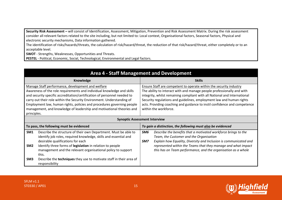**Security Risk Assessment –** will consist of Identification, Assessment, Mitigation, Prevention and Risk Assessment Matrix. During the risk assessment consider all relevant factors related to the site including, but not limited to: Local context, Organisational factors, Seasonal factors, Physical and electronic security mechanisms, Data information gathered.

The identification of risks/hazards/threats, the calculation of risk/hazard/threat, the reduction of that risk/hazard/threat, either completely or to an acceptable level.

**SWOT** - Strengths, Weaknesses, Opportunities and Threats.

**PESTEL** - Political, Economic, Social, Technological, Environmental and Legal factors.

| <b>Area 4 - Staff Management and Development</b>                                                                                                                                                                                                                                                                                                                                                                                                    |                                                                                                                                                                                                                                                                                                                                                                                                         |  |
|-----------------------------------------------------------------------------------------------------------------------------------------------------------------------------------------------------------------------------------------------------------------------------------------------------------------------------------------------------------------------------------------------------------------------------------------------------|---------------------------------------------------------------------------------------------------------------------------------------------------------------------------------------------------------------------------------------------------------------------------------------------------------------------------------------------------------------------------------------------------------|--|
| Knowledge                                                                                                                                                                                                                                                                                                                                                                                                                                           | <b>Skills</b>                                                                                                                                                                                                                                                                                                                                                                                           |  |
| Manage Staff performance, development and welfare<br>Awareness of the role requirements and individual knowledge and skills<br>and security specific accreditation/certification of personnel needed to<br>carry out their role within the Security Environment. Understanding of<br>Employment law, human rights, policies and procedures governing people<br>management, and knowledge of leadership and motivational theories and<br>principles. | Ensure Staff are competent to operate within the security industry<br>The ability to interact with and manage people professionally and with<br>integrity, whilst remaining compliant with all National and International<br>Security regulations and guidelines, employment law and human rights<br>acts. Providing coaching and guidance to instil confidence and competence<br>within the workforce. |  |
| <b>Synoptic Assessment Interview</b>                                                                                                                                                                                                                                                                                                                                                                                                                |                                                                                                                                                                                                                                                                                                                                                                                                         |  |
| To pass, the following must be evidenced                                                                                                                                                                                                                                                                                                                                                                                                            | To gain a distinction, the following must also be evidenced                                                                                                                                                                                                                                                                                                                                             |  |
| Describe the structure of their own Department. Must be able to<br>SM <sub>1</sub><br>identify job roles, required knowledge, skills and essential and<br>desirable qualifications for each<br>Identify three forms of legislation in relation to people<br>SM <sub>2</sub><br>management and the relevant organisational policy to support<br>this.                                                                                                | SM6<br>Describe the benefits that a motivated workforce brings to the<br>Team, the Customer and the Organisation<br>Explain how Equality, Diversity and Inclusion is communicated and<br>SM7<br>represented within the Teams that they manage and what impact<br>this has on Team performance, and the organisation as a whole                                                                          |  |
| Describe the techniques they use to motivate staff in their area of<br>SM <sub>3</sub><br>responsibility                                                                                                                                                                                                                                                                                                                                            |                                                                                                                                                                                                                                                                                                                                                                                                         |  |

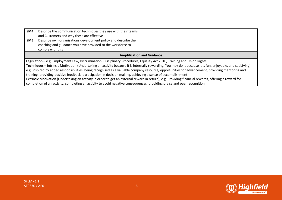| SM4<br>SM <sub>5</sub>                                                                                                                                      | Describe the communication techniques they use with their teams<br>and Customers and why these are effective<br>Describe own organisations development policy and describe the<br>coaching and guidance you have provided to the workforce to |  |
|-------------------------------------------------------------------------------------------------------------------------------------------------------------|-----------------------------------------------------------------------------------------------------------------------------------------------------------------------------------------------------------------------------------------------|--|
|                                                                                                                                                             | comply with this                                                                                                                                                                                                                              |  |
| <b>Amplification and Guidance</b>                                                                                                                           |                                                                                                                                                                                                                                               |  |
| Legislation - e.g. Employment Law, Discrimination, Disciplinary Procedures, Equality Act 2010, Training and Union Rights.                                   |                                                                                                                                                                                                                                               |  |
| Techniques - Intrinsic Motivation (Undertaking an activity because it is internally rewarding. You may do it because it is fun, enjoyable, and satisfying), |                                                                                                                                                                                                                                               |  |
| e.g. Inspired by added responsibilities, being recognised as a valuable company resource, opportunities for advancement, providing mentoring and            |                                                                                                                                                                                                                                               |  |
| training, providing positive feedback, participation in decision making, achieving a sense of accomplishment.                                               |                                                                                                                                                                                                                                               |  |
| Extrinsic Motivation (Undertaking an activity in order to get an external reward in return), e.g. Providing financial rewards, offering a reward for        |                                                                                                                                                                                                                                               |  |
|                                                                                                                                                             | completion of an activity, completing an activity to avoid negative consequences, providing praise and peer recognition.                                                                                                                      |  |

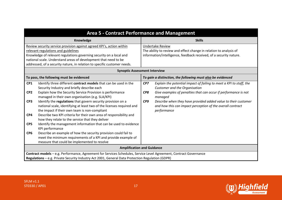| <b>Area 5 - Contract Performance and Management</b>                                                                                                                                                                                                                                                                                                                                                                                                                                                                                                                                                                                                                                                                                                                                                                                                                                                                       |                                                                                                                                                                                                                                                                                                                                                        |  |
|---------------------------------------------------------------------------------------------------------------------------------------------------------------------------------------------------------------------------------------------------------------------------------------------------------------------------------------------------------------------------------------------------------------------------------------------------------------------------------------------------------------------------------------------------------------------------------------------------------------------------------------------------------------------------------------------------------------------------------------------------------------------------------------------------------------------------------------------------------------------------------------------------------------------------|--------------------------------------------------------------------------------------------------------------------------------------------------------------------------------------------------------------------------------------------------------------------------------------------------------------------------------------------------------|--|
| Knowledge                                                                                                                                                                                                                                                                                                                                                                                                                                                                                                                                                                                                                                                                                                                                                                                                                                                                                                                 | <b>Skills</b>                                                                                                                                                                                                                                                                                                                                          |  |
| Review security service provision against agreed KPI's, action within<br>relevant regulations and guidelines<br>Knowledge of relevant regulations governing security on a local and<br>national scale. Understand areas of development that need to be<br>addressed, of a security nature, in relation to specific customer needs.                                                                                                                                                                                                                                                                                                                                                                                                                                                                                                                                                                                        | <b>Undertake Review</b><br>The ability to review and effect change in relation to analysis of<br>information/intelligence, feedback received, of a security nature.                                                                                                                                                                                    |  |
| <b>Synoptic Assessment Interview</b>                                                                                                                                                                                                                                                                                                                                                                                                                                                                                                                                                                                                                                                                                                                                                                                                                                                                                      |                                                                                                                                                                                                                                                                                                                                                        |  |
| To pass, the following must be evidenced                                                                                                                                                                                                                                                                                                                                                                                                                                                                                                                                                                                                                                                                                                                                                                                                                                                                                  | To gain a distinction, the following must also be evidenced                                                                                                                                                                                                                                                                                            |  |
| CP <sub>1</sub><br>Identify three different contract models that can be used in the<br>Security Industry and briefly describe each<br>CP <sub>2</sub><br>Explain how the Security Service Provision is performance<br>managed in their own organisation (e.g. SLA/KPI)<br>CP <sub>3</sub><br>Identify the regulations that govern security provision on a<br>national scale, identifying at least two of the licenses required and<br>the impact if their own team is non-compliant<br>Describe two KPI criteria for their own area of responsibility and<br>CP4<br>how they relate to the service that they deliver<br>Identify the management information that can be used to evidence<br>CP5<br>KPI performance<br>CP <sub>6</sub><br>Describe an example of how the security provision could fail to<br>meet the minimum requirements of a KPI and provide example of<br>measure that could be implemented to resolve | CP7<br>Explain the potential impact of failing to meet a KPI to staff, the<br>Customer and the Organisation<br>Give examples of penalties that can occur if performance is not<br>CP8<br>managed<br>CP9<br>Describe when they have provided added value to their customer<br>and how this can impact perception of the overall contract<br>performance |  |
| <b>Amplification and Guidance</b>                                                                                                                                                                                                                                                                                                                                                                                                                                                                                                                                                                                                                                                                                                                                                                                                                                                                                         |                                                                                                                                                                                                                                                                                                                                                        |  |
| Contract models - e.g. Performance, Agreement for Services Schedules, Service Level Agreement, Contract Governance<br>Regulations - e.g. Private Security Industry Act 2001, General Data Protection Regulation (GDPR)                                                                                                                                                                                                                                                                                                                                                                                                                                                                                                                                                                                                                                                                                                    |                                                                                                                                                                                                                                                                                                                                                        |  |

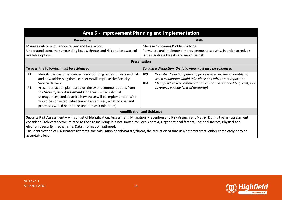| Area 6 - Improvement Planning and Implementation                                                                                                                                                                                                                                                                                                                                                                                                                                                                                                              |                                                                                                                                                                                                                                                             |  |
|---------------------------------------------------------------------------------------------------------------------------------------------------------------------------------------------------------------------------------------------------------------------------------------------------------------------------------------------------------------------------------------------------------------------------------------------------------------------------------------------------------------------------------------------------------------|-------------------------------------------------------------------------------------------------------------------------------------------------------------------------------------------------------------------------------------------------------------|--|
| Knowledge                                                                                                                                                                                                                                                                                                                                                                                                                                                                                                                                                     | <b>Skills</b>                                                                                                                                                                                                                                               |  |
| Manage outcome of service review and take action<br>Understand concerns surrounding issues, threats and risk and be aware of<br>available options.                                                                                                                                                                                                                                                                                                                                                                                                            | Manage Outcomes Problem Solving<br>Formulate and implement improvements to security, in order to reduce<br>issues, address threats and minimise risk.                                                                                                       |  |
| Presentation                                                                                                                                                                                                                                                                                                                                                                                                                                                                                                                                                  |                                                                                                                                                                                                                                                             |  |
| To pass, the following must be evidenced                                                                                                                                                                                                                                                                                                                                                                                                                                                                                                                      | To gain a distinction, the following must also be evidenced                                                                                                                                                                                                 |  |
| IP1<br>Identify the customer concerns surrounding issues, threats and risk<br>and how addressing these concerns will improve the Security<br>Service delivery<br>IP <sub>2</sub><br>Present an action plan based on the two recommendations from<br>the Security Risk Assessment (for Area 3 - Security Risk<br>Management) and describe how these will be implemented (Who<br>would be consulted, what training is required, what policies and<br>processes would need to be updated as a minimum)                                                           | IP3<br>Describe the action planning process used including identifying<br>when evaluation would take place and why this is important<br>Identify when a recommendation cannot be actioned (e.g. cost, risk<br>IP4<br>vs return, outside limit of authority) |  |
| <b>Amplification and Guidance</b>                                                                                                                                                                                                                                                                                                                                                                                                                                                                                                                             |                                                                                                                                                                                                                                                             |  |
| Security Risk Assessment - will consist of Identification, Assessment, Mitigation, Prevention and Risk Assessment Matrix. During the risk assessment<br>consider all relevant factors related to the site including, but not limited to: Local context, Organisational factors, Seasonal factors, Physical and<br>electronic security mechanisms, Data information gathered.<br>The identification of risks/hazards/threats, the calculation of risk/hazard/threat, the reduction of that risk/hazard/threat, either completely or to an<br>acceptable level. |                                                                                                                                                                                                                                                             |  |

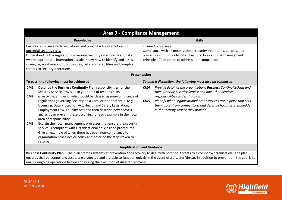| <b>Area 7 - Compliance Management</b>                                                                                                                                                                                                                                                                                                                                                                                                                                                                                                                                                                                                                                                                                                                                                                                                |                                                                                                                                                                                                                                                                                                                                                             |
|--------------------------------------------------------------------------------------------------------------------------------------------------------------------------------------------------------------------------------------------------------------------------------------------------------------------------------------------------------------------------------------------------------------------------------------------------------------------------------------------------------------------------------------------------------------------------------------------------------------------------------------------------------------------------------------------------------------------------------------------------------------------------------------------------------------------------------------|-------------------------------------------------------------------------------------------------------------------------------------------------------------------------------------------------------------------------------------------------------------------------------------------------------------------------------------------------------------|
| Knowledge                                                                                                                                                                                                                                                                                                                                                                                                                                                                                                                                                                                                                                                                                                                                                                                                                            | <b>Skills</b>                                                                                                                                                                                                                                                                                                                                               |
| Ensure compliance with regulations and provide advice/ solutions to<br>potential security risks.<br>Understanding the regulations governing Security on a local, National and,<br>where appropriate, international scale. Know how to identify and assess<br>strengths, weaknesses, opportunities, risks, vulnerabilities and complex<br>threats to security operations.                                                                                                                                                                                                                                                                                                                                                                                                                                                             | <b>Ensure Compliance</b><br>Compliance with all organisational security operations, policies, and<br>procedures, utilising identified best practices and risk management<br>principles. Take action to address non-compliance.                                                                                                                              |
|                                                                                                                                                                                                                                                                                                                                                                                                                                                                                                                                                                                                                                                                                                                                                                                                                                      | Presentation                                                                                                                                                                                                                                                                                                                                                |
| To pass, the following must be evidenced                                                                                                                                                                                                                                                                                                                                                                                                                                                                                                                                                                                                                                                                                                                                                                                             | To gain a distinction, the following must also be evidenced                                                                                                                                                                                                                                                                                                 |
| Describe the Business Continuity Plan responsibilities for the<br>CM1<br>Security Service Provision in your area of responsibility<br>Give two examples of what would be classed as non-compliance of<br>CM <sub>2</sub><br>regulations governing Security on a Local or National scale. (e.g.<br>Licensing, Data Protection Act, Health and Safety Legislation,<br>Employment Law, Equality Act) and then describe how a SWOT<br>analysis can prevent these occurring for each example in their own<br>area of responsibility<br>Explain their own management processes that ensure the security<br>CM <sub>3</sub><br>service is compliant with Organisational policies and procedures.<br>Give an example of when there has been non-compliance to<br>organisation processes or policy and describe the steps taken to<br>resolve | CM4<br>Provide detail of the organisations Business Continuity Plan and<br>then describe Security Service and one other Services<br>responsibilities under this plan<br>Identify what Organisational best practices are in place that sets<br>CM5<br>them apart from competitors, and describe how this is embedded<br>in the security service they provide |
| <b>Amplification and Guidance</b>                                                                                                                                                                                                                                                                                                                                                                                                                                                                                                                                                                                                                                                                                                                                                                                                    |                                                                                                                                                                                                                                                                                                                                                             |
| Business Continuity Plan - The plan creates systems of prevention and recovery to deal with potential threats to a company/organisation. The plan<br>ensures that personnel and assets are protected and are able to function quickly in the event of a disaster/threat. In addition to prevention, the goal is to<br>enable ongoing operations before and during the execution of disaster recovery.                                                                                                                                                                                                                                                                                                                                                                                                                                |                                                                                                                                                                                                                                                                                                                                                             |

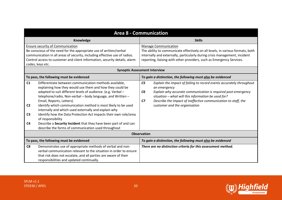| <b>Area 8 - Communication</b>                            |                                                                                                                                                                                                                                                                                                                                                                                                                                                                                                                                                                                                                           |                                                                                                                                                                                                                                                                                                                                                           |
|----------------------------------------------------------|---------------------------------------------------------------------------------------------------------------------------------------------------------------------------------------------------------------------------------------------------------------------------------------------------------------------------------------------------------------------------------------------------------------------------------------------------------------------------------------------------------------------------------------------------------------------------------------------------------------------------|-----------------------------------------------------------------------------------------------------------------------------------------------------------------------------------------------------------------------------------------------------------------------------------------------------------------------------------------------------------|
|                                                          | Knowledge                                                                                                                                                                                                                                                                                                                                                                                                                                                                                                                                                                                                                 | <b>Skills</b>                                                                                                                                                                                                                                                                                                                                             |
|                                                          | <b>Ensure security of Communication</b><br>Be conscious of the need for the appropriate use of written/verbal<br>communication in all areas of security, including effective use of radios.<br>Control access to customer and client information, security details, alarm<br>codes, keys etc.                                                                                                                                                                                                                                                                                                                             | <b>Manage Communication</b><br>The ability to communicate effectively on all levels, in various formats, both<br>internally and externally, particularly during crisis management, incident<br>reporting, liaising with other providers, such as Emergency Services.                                                                                      |
|                                                          |                                                                                                                                                                                                                                                                                                                                                                                                                                                                                                                                                                                                                           | <b>Synoptic Assessment Interview</b>                                                                                                                                                                                                                                                                                                                      |
|                                                          | To pass, the following must be evidenced                                                                                                                                                                                                                                                                                                                                                                                                                                                                                                                                                                                  | To gain a distinction, the following must also be evidenced                                                                                                                                                                                                                                                                                               |
| C1<br>C <sub>2</sub><br>C <sub>3</sub><br>C <sub>4</sub> | Differentiate between communication methods available,<br>explaining how they would use them and how they could be<br>adapted to suit different levels of audience. (e.g. Verbal -<br>telephone/radio, Non-verbal - body language, and Written -<br>Email, Reports, Letters)<br>Identify which communication method is most likely to be used<br>internally and which used externally and explain why<br>Identify how the Data Protection Act impacts their own role/area<br>of responsibility<br>Describe a Security Incident that they have been part of and can<br>describe the forms of communication used throughout | C <sub>5</sub><br>Explain the impact of failing to record events accurately throughout<br>an emergency<br>Explain why accurate communication is required post-emergency<br>C <sub>6</sub><br>situation - what will this information be used for?<br>CZ<br>Describe the impact of ineffective communication to staff, the<br>customer and the organisation |
|                                                          | <b>Observation</b>                                                                                                                                                                                                                                                                                                                                                                                                                                                                                                                                                                                                        |                                                                                                                                                                                                                                                                                                                                                           |
|                                                          | To pass, the following must be evidenced                                                                                                                                                                                                                                                                                                                                                                                                                                                                                                                                                                                  | To gain a distinction, the following must also be evidenced                                                                                                                                                                                                                                                                                               |
| C <sub>8</sub>                                           | Demonstrates use of appropriate methods of verbal and non-<br>verbal communication relevant to the situation in order to ensure<br>that risk does not escalate, and all parties are aware of their<br>responsibilities and updated continually.                                                                                                                                                                                                                                                                                                                                                                           | There are no distinction criteria for this assessment method.                                                                                                                                                                                                                                                                                             |

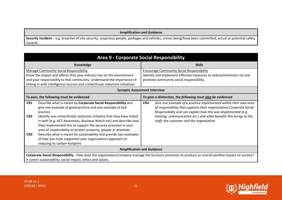#### **Amplification and Guidance**

Security Incident - e.g. breaches of site security, suspicious people, packages and vehicles, crimes being/have been committed, actual or potential safety hazards.

| Area 9 - Corporate Social Responsibility                                                                                                                                                                                                                                                                                                                                                                                                                                                                                                                                                                                               |                                                                                                                                                                                                                                                                                                                                    |
|----------------------------------------------------------------------------------------------------------------------------------------------------------------------------------------------------------------------------------------------------------------------------------------------------------------------------------------------------------------------------------------------------------------------------------------------------------------------------------------------------------------------------------------------------------------------------------------------------------------------------------------|------------------------------------------------------------------------------------------------------------------------------------------------------------------------------------------------------------------------------------------------------------------------------------------------------------------------------------|
| Knowledge                                                                                                                                                                                                                                                                                                                                                                                                                                                                                                                                                                                                                              | <b>Skills</b>                                                                                                                                                                                                                                                                                                                      |
| <b>Manage Community Social Responsibility</b><br>Know the impact and effects that your industry has on the environment<br>and your responsibility to that community. Understand the importance of<br>linking in with intelligence sources and crime/threat reduction initiatives.                                                                                                                                                                                                                                                                                                                                                      | <b>Encourage Community Social Responsibility</b><br>Identify and implement effective measures to reduce/minimise risk and<br>promote community social responsibility.                                                                                                                                                              |
| <b>Synoptic Assessment Interview</b>                                                                                                                                                                                                                                                                                                                                                                                                                                                                                                                                                                                                   |                                                                                                                                                                                                                                                                                                                                    |
| To pass, the following must be evidenced                                                                                                                                                                                                                                                                                                                                                                                                                                                                                                                                                                                               | To gain a distinction, the following must also be evidenced                                                                                                                                                                                                                                                                        |
| CR1<br>Describe what is meant by Corporate Social Responsibility and<br>give one example of good practice and one example of bad<br>practice<br>Identify one crime/threat reduction initiative that they have linked<br>CR <sub>2</sub><br>in with (e.g. ACT Awareness, Business Watch etc) and describe how<br>they implemented this to support the security provision in your<br>area of responsibility to protect property, people or premises<br>Describe what is meant by sustainability and provide two examples<br>CR <sub>3</sub><br>of how you have supported your organisations approach to<br>reducing its carbon footprint | CR4<br>Give one example of a practice implemented within their own area<br>of responsibility that supports their organisations Corporate Social<br>Responsibility and can explain how this was implemented (e.g.<br>training, communication etc.) and what benefits this brings to the<br>staff, the customer and the organisation |
| <b>Amplification and Guidance</b>                                                                                                                                                                                                                                                                                                                                                                                                                                                                                                                                                                                                      |                                                                                                                                                                                                                                                                                                                                    |
| Corporate Social Responsibility - How does the organisation/company manage the business processes to produce an overall positive impact on society?<br>It covers sustainability, social impact, ethics and values.                                                                                                                                                                                                                                                                                                                                                                                                                     |                                                                                                                                                                                                                                                                                                                                    |

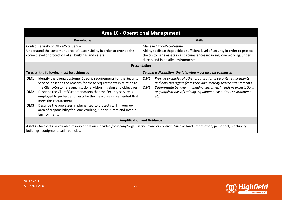| <b>Area 10 - Operational Management</b>                                                                                                                                                                                                                                                                                                                                                                                                                                                                                                                                                          |                                                                                                                                                                                                                                                                                                   |  |  |
|--------------------------------------------------------------------------------------------------------------------------------------------------------------------------------------------------------------------------------------------------------------------------------------------------------------------------------------------------------------------------------------------------------------------------------------------------------------------------------------------------------------------------------------------------------------------------------------------------|---------------------------------------------------------------------------------------------------------------------------------------------------------------------------------------------------------------------------------------------------------------------------------------------------|--|--|
| Knowledge                                                                                                                                                                                                                                                                                                                                                                                                                                                                                                                                                                                        | <b>Skills</b>                                                                                                                                                                                                                                                                                     |  |  |
| Control security of Office/Site Venue<br>Understand the customer's area of responsibility in order to provide the<br>correct level of protection of all buildings and assets.                                                                                                                                                                                                                                                                                                                                                                                                                    | Manage Office/Site/Venue<br>Ability to dispatch/provide a sufficient level of security in order to protect<br>the customer's assets in all circumstances including lone working, under<br>duress and in hostile environments.                                                                     |  |  |
| Presentation                                                                                                                                                                                                                                                                                                                                                                                                                                                                                                                                                                                     |                                                                                                                                                                                                                                                                                                   |  |  |
| To pass, the following must be evidenced                                                                                                                                                                                                                                                                                                                                                                                                                                                                                                                                                         | To gain a distinction, the following must also be evidenced                                                                                                                                                                                                                                       |  |  |
| Identify the Client/Customer Specific requirements for the Security<br>OM <sub>1</sub><br>Service, describe the reasons for these requirements in relation to<br>the Client/Customers organisational vision, mission and objectives<br>Describe the Client/Customer assets that the Security service is<br>OM <sub>2</sub><br>employed to protect and describe the measures implemented that<br>meet this requirement<br>Describe the processes implemented to protect staff in your own<br>OM <sub>3</sub><br>area of responsibility for Lone Working, Under Duress and Hostile<br>Environments | OM4<br>Provide examples of other organisational security requirements<br>and how this differs from their own security service requirements<br>Differentiate between managing customers' needs vs expectations<br>OM5<br>(e.g implications of training, equipment, cost, time, environment<br>etc) |  |  |
| <b>Amplification and Guidance</b>                                                                                                                                                                                                                                                                                                                                                                                                                                                                                                                                                                |                                                                                                                                                                                                                                                                                                   |  |  |
| Assets - An asset is a valuable resource that an individual/company/organisation owns or controls. Such as land, information, personnel, machinery,<br>buildings, equipment, cash, vehicles.                                                                                                                                                                                                                                                                                                                                                                                                     |                                                                                                                                                                                                                                                                                                   |  |  |

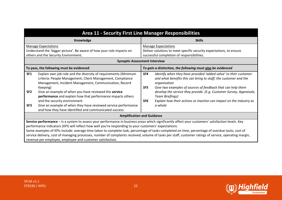| <b>Area 11 - Security First Line Manager Responsibilities</b>                                                                                                                                                                                                                                                                                                                                                                                                                                                                                                                                                                         |                                                                                                                                                                                                                                                                                                                                                                                                                                  |  |  |
|---------------------------------------------------------------------------------------------------------------------------------------------------------------------------------------------------------------------------------------------------------------------------------------------------------------------------------------------------------------------------------------------------------------------------------------------------------------------------------------------------------------------------------------------------------------------------------------------------------------------------------------|----------------------------------------------------------------------------------------------------------------------------------------------------------------------------------------------------------------------------------------------------------------------------------------------------------------------------------------------------------------------------------------------------------------------------------|--|--|
| Knowledge                                                                                                                                                                                                                                                                                                                                                                                                                                                                                                                                                                                                                             | <b>Skills</b>                                                                                                                                                                                                                                                                                                                                                                                                                    |  |  |
| <b>Manage Expectations</b>                                                                                                                                                                                                                                                                                                                                                                                                                                                                                                                                                                                                            | <b>Manage Expectations</b>                                                                                                                                                                                                                                                                                                                                                                                                       |  |  |
| Understand the 'bigger picture'. Be aware of how your role impacts on                                                                                                                                                                                                                                                                                                                                                                                                                                                                                                                                                                 | Deliver solutions to meet specific security expectations, to ensure                                                                                                                                                                                                                                                                                                                                                              |  |  |
| others and the Security Environment.                                                                                                                                                                                                                                                                                                                                                                                                                                                                                                                                                                                                  | successful completion of responsibilities.                                                                                                                                                                                                                                                                                                                                                                                       |  |  |
|                                                                                                                                                                                                                                                                                                                                                                                                                                                                                                                                                                                                                                       | <b>Synoptic Assessment Interview</b>                                                                                                                                                                                                                                                                                                                                                                                             |  |  |
| To pass, the following must be evidenced<br>To gain a distinction, the following must also be evidenced                                                                                                                                                                                                                                                                                                                                                                                                                                                                                                                               |                                                                                                                                                                                                                                                                                                                                                                                                                                  |  |  |
| SF <sub>1</sub><br>Explain own job role and the diversity of requirements (Minimum<br>criteria: People Management, Client Management, Compliance<br>Management, Incident Management, Communication, Record<br>Keeping)<br>Give an example of when you have reviewed the service<br>SF <sub>2</sub><br>performance and explain how that performance impacts others<br>and the security environment<br>Give an example of when they have reviewed service performance<br>SF <sub>3</sub><br>and how they have identified and communicated success                                                                                       | SF4<br>Identify when they have provided 'added value' to their customer<br>and what benefits this can bring to staff, the customer and the<br>organisation<br>Give two examples of sources of feedback that can help them<br>SF5<br>develop the service they provide. (E.g. Customer Survey, Appraisals,<br>Team Briefings)<br>Explain how their actions or inaction can impact on the industry as<br>SF <sub>6</sub><br>a whole |  |  |
| <b>Amplification and Guidance</b>                                                                                                                                                                                                                                                                                                                                                                                                                                                                                                                                                                                                     |                                                                                                                                                                                                                                                                                                                                                                                                                                  |  |  |
| Service performance - Is a system to assess your performance in business areas which significantly affect your customers' satisfaction levels. Key<br>performance indicators (KPI) will reflect how well you're responding to your customers' expectations.<br>Some examples of KPIs include: average time taken to complete task, percentage of tasks completed on time, percentage of overdue tasks, cost of<br>service delivery, cost of managing processes, number of complaints received, volume of tasks per staff, customer ratings of service, operating margin,<br>revenue per employee, employee and customer satisfaction. |                                                                                                                                                                                                                                                                                                                                                                                                                                  |  |  |



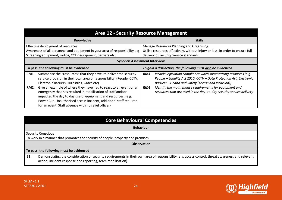|                                                                                                                                                                                | <b>Area 12 - Security Resource Management</b>                                                                                                                                                                                                                                                                                  |                                                                                                                                                                        |                                                                                                                                                                                               |  |
|--------------------------------------------------------------------------------------------------------------------------------------------------------------------------------|--------------------------------------------------------------------------------------------------------------------------------------------------------------------------------------------------------------------------------------------------------------------------------------------------------------------------------|------------------------------------------------------------------------------------------------------------------------------------------------------------------------|-----------------------------------------------------------------------------------------------------------------------------------------------------------------------------------------------|--|
| Knowledge                                                                                                                                                                      |                                                                                                                                                                                                                                                                                                                                | <b>Skills</b>                                                                                                                                                          |                                                                                                                                                                                               |  |
| Effective deployment of resources<br>Awareness of all personnel and equipment in your area of responsibility e.g<br>Screening equipment, radios, CCTV equipment, barriers etc. |                                                                                                                                                                                                                                                                                                                                | Manage Resources Planning and Organising.<br>Utilise resources effectively, without injury or loss, in order to ensure full<br>delivery of Security Service standards. |                                                                                                                                                                                               |  |
|                                                                                                                                                                                | <b>Synoptic Assessment Interview</b>                                                                                                                                                                                                                                                                                           |                                                                                                                                                                        |                                                                                                                                                                                               |  |
| To pass, the following must be evidenced                                                                                                                                       |                                                                                                                                                                                                                                                                                                                                | To gain a distinction, the following must also be evidenced                                                                                                            |                                                                                                                                                                                               |  |
| RM1                                                                                                                                                                            | Summarise the "resources" that they have, to deliver the security<br>service provision in their own area of responsibility. (People, CCTV,<br>Electronic Barriers, Turnstiles, Gates etc)                                                                                                                                      | RM3                                                                                                                                                                    | Include legislation compliance when summarising resources (e.g.<br>People - Equality Act 2010, CCTV - Data Protection Act, Electronic<br>Barriers – Health and Safety (Access and Inclusion)) |  |
| RM <sub>2</sub>                                                                                                                                                                | Give an example of where they have had to react to an event or an<br>emergency that has resulted in mobilisation of staff and/or<br>impacted the day to day use of equipment and resources. (e.g.<br>Power Cut, Unauthorised access incident, additional staff required<br>for an event, Staff absence with no relief officer) | RM4                                                                                                                                                                    | Identify the maintenance requirements for equipment and<br>resources that are used in the day-to-day security service delivery                                                                |  |

| <b>Core Behavioural Competencies</b> |  |
|--------------------------------------|--|
|                                      |  |

|           | <b>Behaviour</b>                                                                                                                                                                                                |  |  |
|-----------|-----------------------------------------------------------------------------------------------------------------------------------------------------------------------------------------------------------------|--|--|
|           | <b>Security Conscious</b>                                                                                                                                                                                       |  |  |
|           | To work in a manner that promotes the security of people, property and premises                                                                                                                                 |  |  |
|           | <b>Observation</b>                                                                                                                                                                                              |  |  |
|           | To pass, the following must be evidenced                                                                                                                                                                        |  |  |
| <b>B1</b> | Demonstrating the consideration of security requirements in their own area of responsibility (e.g. access control, threat awareness and relevant<br>action, incident response and reporting, team mobilisation) |  |  |

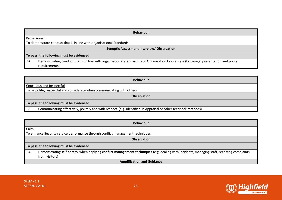|              | <b>Behaviour</b>                                                                                                                                       |  |  |  |
|--------------|--------------------------------------------------------------------------------------------------------------------------------------------------------|--|--|--|
| Professional |                                                                                                                                                        |  |  |  |
|              | To demonstrate conduct that is in line with organisational Standards                                                                                   |  |  |  |
|              | Synoptic Assessment Interview/Observation                                                                                                              |  |  |  |
|              | To pass, the following must be evidenced                                                                                                               |  |  |  |
| <b>B2</b>    | Demonstrating conduct that is in line with organisational standards (e.g. Organisation House style (Language, presentation and policy<br>requirements) |  |  |  |

| <b>Behaviour</b>                                                                                                                 |  |  |  |
|----------------------------------------------------------------------------------------------------------------------------------|--|--|--|
| Courteous and Respectful                                                                                                         |  |  |  |
| To be polite, respectful and considerate when communicating with others                                                          |  |  |  |
| <b>Observation</b>                                                                                                               |  |  |  |
| To pass, the following must be evidenced                                                                                         |  |  |  |
| Communicating effectively, politely and with respect. (e.g. Identified in Appraisal or other feedback methods)<br>B <sub>3</sub> |  |  |  |

| <b>Behaviour</b>                                                               |                                                                                                                                            |  |  |  |
|--------------------------------------------------------------------------------|--------------------------------------------------------------------------------------------------------------------------------------------|--|--|--|
| Calm                                                                           |                                                                                                                                            |  |  |  |
| To enhance Security service performance through conflict management techniques |                                                                                                                                            |  |  |  |
|                                                                                | <b>Observation</b>                                                                                                                         |  |  |  |
| To pass, the following must be evidenced                                       |                                                                                                                                            |  |  |  |
| <b>B4</b>                                                                      | Demonstrating self-control when applying conflict management techniques (e.g. dealing with incidents, managing staff, receiving complaints |  |  |  |
|                                                                                | from visitors)                                                                                                                             |  |  |  |
| <b>Amplification and Guidance</b>                                              |                                                                                                                                            |  |  |  |

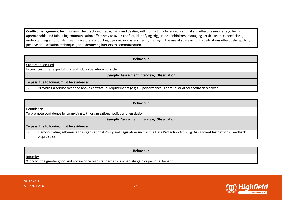**Conflict management techniques** – The practice of recognising and dealing with conflict in a balanced, rational and effective manner e.g. Being approachable and fair, using communication effectively to avoid conflict, identifying triggers and inhibitors, managing service users expectations, understanding emotional/threat indicators, conducting dynamic risk assessments, managing the use of space in conflict situations effectively, applying positive de-escalation techniques, and identifying barriers to communication.

| <b>Behaviour</b>                                                                                                                     |  |  |  |
|--------------------------------------------------------------------------------------------------------------------------------------|--|--|--|
| <b>Customer Focused</b>                                                                                                              |  |  |  |
| Exceed customer expectations and add value where possible                                                                            |  |  |  |
| Synoptic Assessment Interview/Observation                                                                                            |  |  |  |
| To pass, the following must be evidenced                                                                                             |  |  |  |
| Providing a service over and above contractual requirements (e.g KPI performance, Appraisal or other feedback received)<br><b>B5</b> |  |  |  |

|                                                   | <b>Behaviour</b>                                                                                                                                          |  |  |  |
|---------------------------------------------------|-----------------------------------------------------------------------------------------------------------------------------------------------------------|--|--|--|
|                                                   | Confidential                                                                                                                                              |  |  |  |
|                                                   | To promote confidence by complying with organisational policy and legislation                                                                             |  |  |  |
| <b>Synoptic Assessment Interview/ Observation</b> |                                                                                                                                                           |  |  |  |
| To pass, the following must be evidenced          |                                                                                                                                                           |  |  |  |
| <b>B6</b>                                         | Demonstrating adherence to Organisational Policy and Legislation such as the Data Protection Act. (E.g. Assignment Instructions, Feedback,<br>Appraisals) |  |  |  |

**Behaviour Integrity** Work for the greater good and not sacrifice high standards for immediate gain or personal benefit

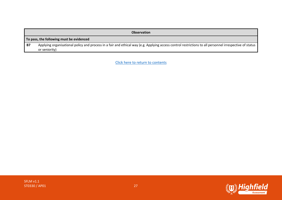|                                          | <b>Observation</b>                                                                                                                                                       |  |  |
|------------------------------------------|--------------------------------------------------------------------------------------------------------------------------------------------------------------------------|--|--|
| To pass, the following must be evidenced |                                                                                                                                                                          |  |  |
| <b>B7</b>                                | Applying organisational policy and process in a fair and ethical way (e.g. Applying access control restrictions to all personnel irrespective of status<br>or seniority) |  |  |

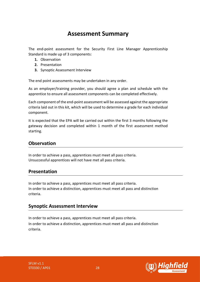# **Assessment Summary**

<span id="page-27-0"></span>The end-point assessment for the Security First Line Manager Apprenticeship Standard is made up of 3 components:

- **1.** Observation
- **2.** Presentation
- **3.** Synoptic Assessment Interview

The end point assessments may be undertaken in any order.

As an employer/training provider, you should agree a plan and schedule with the apprentice to ensure all assessment components can be completed effectively.

Each component of the end-point assessment will be assessed against the appropriate criteria laid out in this kit, which will be used to determine a grade for each individual component.

It is expected that the EPA will be carried out within the first 3 months following the gateway decision and completed within 1 month of the first assessment method starting.

# **Observation**

In order to achieve a pass, apprentices must meet all pass criteria. Unsuccessful apprentices will not have met all pass criteria.

### **Presentation**

In order to achieve a pass, apprentices must meet all pass criteria. In order to achieve a distinction, apprentices must meet all pass and distinction criteria.

# **Synoptic Assessment Interview**

In order to achieve a pass, apprentices must meet all pass criteria. In order to achieve a distinction, apprentices must meet all pass and distinction criteria.

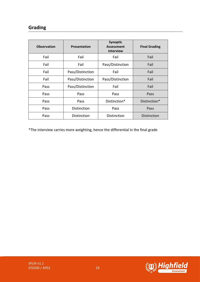# **Grading**

| <b>Observation</b> | <b>Presentation</b> | Synoptic<br><b>Assessment</b><br><b>Interview</b> | <b>Final Grading</b> |
|--------------------|---------------------|---------------------------------------------------|----------------------|
| Fail               | Fail                | Fail                                              | Fail                 |
| Fail               | Fail                | Pass/Distinction                                  | Fail                 |
| Fail               | Pass/Distinction    | Fail                                              | Fail                 |
| Fail               | Pass/Distinction    | Pass/Distinction                                  | Fail                 |
| Pass               | Pass/Distinction    | Fail                                              | Fail                 |
| Pass               | Pass                | Pass                                              | Pass                 |
| Pass               | Pass                | Distinction*                                      | Distinction*         |
| Pass               | Distinction         | Pass                                              | Pass                 |
| Pass               | Distinction         | Distinction                                       | <b>Distinction</b>   |

\*The interview carries more weighting, hence the differential in the final grade



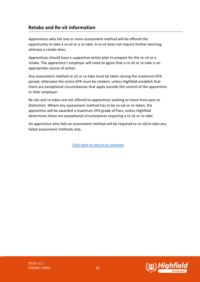# **Retake and Re-sit information**

Apprentices who fail one or more assessment method will be offered the opportunity to take a re-sit or a re-take. A re-sit does not require further learning, whereas a retake does.

Apprentices should have a supportive action plan to prepare for the re-sit or a retake. The apprentice's employer will need to agree that a re-sit or re-take is an appropriate course of action.

Any assessment method re-sit or re-take must be taken during the maximum EPA period, otherwise the entire EPA must be retaken, unless Highfield establish that there are exceptional circumstances that apply outside the control of the apprentice or their employer.

Re-sits and re-takes are not offered to apprentices wishing to move from pass to distinction. Where any assessment method has to be re-sat or re-taken, the apprentice will be awarded a maximum EPA grade of Pass, unless Highfield determines there are exceptional circumstances requiring a re-sit or re-take.

An apprentice who fails an assessment method will be required to re-sit/re-take any failed assessment methods only.

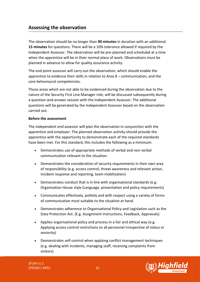# <span id="page-30-0"></span>**Assessing the observation**

The observation should be no longer than **90 minutes** in duration with an additional **15 minutes** for questions. There will be a 10% tolerance allowed if required by the Independent Assessor. The observation will be pre-planned and scheduled at a time when the apprentice will be in their normal place of work. Observations must be planned in advance to allow for quality assurance activity.

The end-point assessor will carry out the observation, which should enable the apprentice to evidence their skills in relation to Area 8 – communication, and the core behavioural competencies.

Those areas which are not able to be evidenced during the observation due to the nature of the Security First Line Manager role, will be discussed subsequently during a question-and-answer session with the Independent Assessor. The additional questions will be generated by the Independent Assessor based on the observation carried out.

#### **Before the assessment**

The independent end assessor will plan the observation in conjunction with the apprentice and employer. The planned observation activity should provide the apprentice with the opportunity to demonstrate each of the required standards have been met. For this standard, this includes the following as a minimum:

- Demonstrates use of appropriate methods of verbal and non-verbal communication relevant to the situation.
- Demonstrates the consideration of security requirements in their own area of responsibility (e.g. access control, threat awareness and relevant action, incident response and reporting, team mobilisation)
- Demonstrates conduct that is in line with organisational standards (e.g. Organisation House style (Language, presentation and policy requirements)
- Communicates effectively, politely and with respect using a variety of forms of communication most suitable to the situation at hand.
- Demonstrates adherence to Organisational Policy and Legislation such as the Data Protection Act. (E.g. Assignment Instructions, Feedback, Appraisals)
- Applies organisational policy and process in a fair and ethical way (e.g. Applying access control restrictions to all personnel irrespective of status or seniority)
- Demonstrates self-control when applying conflict management techniques (e.g. dealing with incidents, managing staff, receiving complaints from visitors)

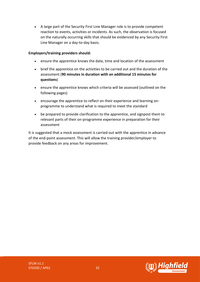• A large part of the Security First Line Manager role is to provide competent reaction to events, activities or incidents. As such, the observation is focused on the naturally occurring skills that should be evidenced by any Security First Line Manager on a day-to-day basis.

#### **Employers/training providers should:**

- ensure the apprentice knows the date, time and location of the assessment
- brief the apprentice on the activities to be carried out and the duration of the assessment (**90 minutes in duration with an additional 15 minutes for questions**)
- ensure the apprentice knows which criteria will be assessed (outlined on the following pages)
- encourage the apprentice to reflect on their experience and learning onprogramme to understand what is required to meet the standard
- be prepared to provide clarification to the apprentice, and signpost them to relevant parts of their on-programme experience in preparation for their assessment

It is suggested that a mock assessment is carried out with the apprentice in advance of the end-point assessment. This will allow the training provider/employer to provide feedback on any areas for improvement.

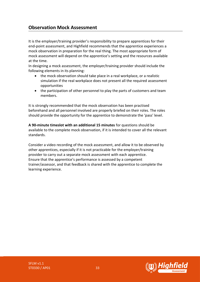# **Observation Mock Assessment**

It is the employer/training provider's responsibility to prepare apprentices for their end-point assessment, and Highfield recommends that the apprentice experiences a mock observation in preparation for the real thing. The most appropriate form of mock assessment will depend on the apprentice's setting and the resources available at the time.

In designing a mock assessment, the employer/training provider should include the following elements in its planning:

- the mock observation should take place in a real workplace, or a realistic simulation if the real workplace does not present all the required assessment opportunities
- the participation of other personnel to play the parts of customers and team members.

It is strongly recommended that the mock observation has been practised beforehand and all personnel involved are properly briefed on their roles. The roles should provide the opportunity for the apprentice to demonstrate the 'pass' level.

**A 90-minute timeslot with an additional 15 minutes** for questions should be available to the complete mock observation, if it is intended to cover all the relevant standards.

Consider a video recording of the mock assessment, and allow it to be observed by other apprentices, especially if it is not practicable for the employer/training provider to carry out a separate mock assessment with each apprentice. Ensure that the apprentice's performance is assessed by a competent trainer/assessor, and that feedback is shared with the apprentice to complete the learning experience.

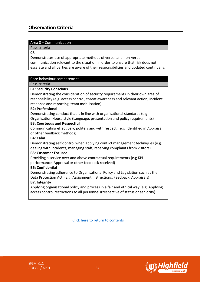# **Observation Criteria**

#### Area 8 – Communication

Pass criteria

**C8**

Demonstrates use of appropriate methods of verbal and non-verbal communication relevant to the situation in order to ensure that risk does not escalate and all parties are aware of their responsibilities and updated continually.

#### Core behaviour competencies

Pass criteria

#### **B1: Security Conscious**

Demonstrating the consideration of security requirements in their own area of responsibility (e.g. access control, threat awareness and relevant action, incident response and reporting, team mobilisation)

#### **B2: Professional**

Demonstrating conduct that is in line with organisational standards (e.g. Organisation House style (Language, presentation and policy requirements)

#### **B3: Courteous and Respectful**

Communicating effectively, politely and with respect. (e.g. Identified in Appraisal or other feedback methods)

#### **B4: Calm**

Demonstrating self-control when applying conflict management techniques (e.g. dealing with incidents, managing staff, receiving complaints from visitors)

#### **B5: Customer Focused**

Providing a service over and above contractual requirements (e.g KPI performance, Appraisal or other feedback received)

#### **B6: Confidential**

Demonstrating adherence to Organisational Policy and Legislation such as the Data Protection Act. (E.g. Assignment Instructions, Feedback, Appraisals) **B7: Integrity** 

Applying organisational policy and process in a fair and ethical way (e.g. Applying access control restrictions to all personnel irrespective of status or seniority)

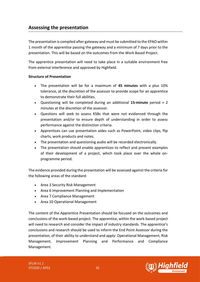# <span id="page-34-0"></span>**Assessing the presentation**

The presentation is compiled after gateway and must be submitted to the EPAO within 1 month of the apprentice passing the gateway and a minimum of 7 days prior to the presentation. This will be based on the outcomes from the Work Based Project.

The apprentice presentation will need to take place in a suitable environment free from external interference and approved by Highfield.

#### **Structure of Presentation**

- The presentation will be for a maximum of **45 minutes** with a plus 10% tolerance, at the discretion of the assessor to provide scope for an apprentice to demonstrate their full abilities.
- Questioning will be completed during an additional **15-minute** period + 2 minutes at the discretion of the assessor.
- Questions will seek to assess KSBs that were not evidenced through the presentation and/or to ensure depth of understanding in order to assess performance against the distinction criteria.
- Apprentices can use presentation aides such as PowerPoint, video clips, flip charts, work products and notes.
- The presentation and questioning audio will be recorded electronically.
- The presentation should enable apprentices to reflect and present examples of their development of a project, which took place over the whole onprogramme period.

The evidence provided during the presentation will be assessed against the criteria for the following areas of the standard:

- Area 3 Security Risk Management
- Area 6 Improvement Planning and Implementation
- Area 7 Compliance Management
- Area 10 Operational Management

The content of the Apprentice Presentation should be focused on the outcomes and conclusions of the work-based project. The apprentice, within the work-based project will need to research and consider the impact of industry standards. The apprentice's conclusions and research should be used to inform the End Point Assessor during the presentation, of their ability to understand and apply: Operational Management, Risk Management, Improvement Planning and Performance and Compliance Management.

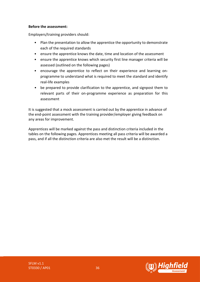#### **Before the assessment:**

Employers/training providers should:

- Plan the presentation to allow the apprentice the opportunity to demonstrate each of the required standards
- ensure the apprentice knows the date, time and location of the assessment
- ensure the apprentice knows which security first line manager criteria will be assessed (outlined on the following pages)
- encourage the apprentice to reflect on their experience and learning onprogramme to understand what is required to meet the standard and identify real-life examples
- be prepared to provide clarification to the apprentice, and signpost them to relevant parts of their on-programme experience as preparation for this assessment

It is suggested that a mock assessment is carried out by the apprentice in advance of the end-point assessment with the training provider/employer giving feedback on any areas for improvement.

Apprentices will be marked against the pass and distinction criteria included in the tables on the following pages. Apprentices meeting all pass criteria will be awarded a pass, and if all the distinction criteria are also met the result will be a distinction.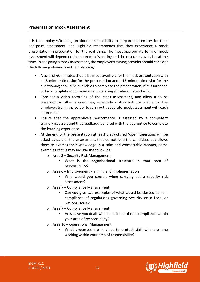#### **Presentation Mock Assessment**

It is the employer/training provider's responsibility to prepare apprentices for their end-point assessment, and Highfield recommends that they experience a mock presentation in preparation for the real thing. The most appropriate form of mock assessment will depend on the apprentice's setting and the resources available at the time. In designing a mock assessment, the employer/training provider should consider the following elements in their planning:

- A total of 60-minutes should be made available for the mock presentation with a 45-minute time slot for the presentation and a 15-minute time slot for the questioning should be available to complete the presentation, if it is intended to be a complete mock assessment covering all relevant standards.
- Consider a video recording of the mock assessment, and allow it to be observed by other apprentices, especially if it is not practicable for the employer/training provider to carry out a separate mock assessment with each apprentice
- Ensure that the apprentice's performance is assessed by a competent trainer/assessor, and that feedback is shared with the apprentice to complete the learning experience.
- At the end of the presentation at least 5 structured 'open' questions will be asked as part of the assessment, that do not lead the candidate but allows them to express their knowledge in a calm and comfortable manner, some examples of this may include the following.
	- o Area 3 Security Risk Management
		- What is the organisational structure in your area of responsibility?
	- o Area 6 Improvement Planning and Implementation
		- Who would you consult when carrying out a security risk assessment?
	- o Area 7 Compliance Management
		- Can you give two examples of what would be classed as noncompliance of regulations governing Security on a Local or National scale?
	- o Area 7 Compliance Management
		- How have you dealt with an incident of non-compliance within your area of responsibility?
	- o Area 10 Operational Management
		- What processes are in place to protect staff who are lone working within your area of responsibility?

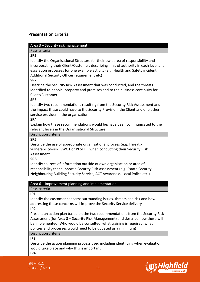### **Presentation criteria**

#### Area 3 – Security risk management

Pass criteria

**SR1**

Identify the Organisational Structure for their own area of responsibility and incorporating their Client/Customer, describing limit of authority in each level and escalation processes for one example activity (e.g. Health and Safety incident, Additional Security Officer requirement etc)

**SR2**

Describe the Security Risk Assessment that was conducted, and the threats identified to people, property and premises and to the business continuity for Client/Customer

#### **SR3**

Identify two recommendations resulting from the Security Risk Assessment and the impact these could have to the Security Provision, the Client and one other service provider in the organisation

**SR4**

Explain how these recommendations would be/have been communicated to the relevant levels in the Organisational Structure

Distinction criteria

**SR5**

Describe the use of appropriate organisational process (e.g. Threat x vulnerability=risk, SWOT or PESTEL) when conducting their Security Risk Assessment

**SR6**

Identify sources of information outside of own organisation or area of responsibility that support a Security Risk Assessment (e.g. Estate Security, Neighbouring Building Security Service, ACT Awareness, Local Police etc.)

#### Area 6 – Improvement planning and implementation

Pass criteria

**IP1**

Identify the customer concerns surrounding issues, threats and risk and how addressing these concerns will improve the Security Service delivery **IP2**

Present an action plan based on the two recommendations from the Security Risk Assessment (for Area 3 – Security Risk Management) and describe how these will be implemented (Who would be consulted, what training is required, what policies and processes would need to be updated as a minimum)

#### Distinction criteria

**IP3**

Describe the action planning process used including identifying when evaluation would take place and why this is important

**IP4**

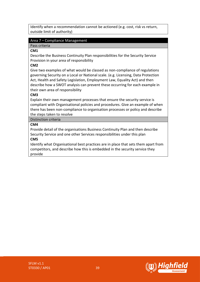Identify when a recommendation cannot be actioned (e.g. cost, risk vs return, outside limit of authority)

#### Area 7 – Compliance Management

Pass criteria

**CM1**

Describe the Business Continuity Plan responsibilities for the Security Service Provision in your area of responsibility

#### **CM2**

Give two examples of what would be classed as non-compliance of regulations governing Security on a Local or National scale. (e.g. Licensing, Data Protection Act, Health and Safety Legislation, Employment Law, Equality Act) and then describe how a SWOT analysis can prevent these occurring for each example in their own area of responsibility

#### **CM3**

Explain their own management processes that ensure the security service is compliant with Organisational policies and procedures. Give an example of when there has been non-compliance to organisation processes or policy and describe the steps taken to resolve

#### Distinction criteria

#### **CM4**

Provide detail of the organisations Business Continuity Plan and then describe Security Service and one other Services responsibilities under this plan

#### **CM5**

Identify what Organisational best practices are in place that sets them apart from competitors, and describe how this is embedded in the security service they provide

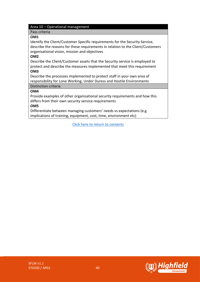#### Area 10 – Operational management

Pass criteria

#### **OM1**

Identify the Client/Customer Specific requirements for the Security Service, describe the reasons for these requirements in relation to the Client/Customers organisational vision, mission and objectives

#### **OM2**

Describe the Client/Customer assets that the Security service is employed to protect and describe the measures implemented that meet this requirement **OM3**

Describe the processes implemented to protect staff in your own area of responsibility for Lone Working, Under Duress and Hostile Environments

### Distinction criteria

#### **OM4**

Provide examples of other organisational security requirements and how this differs from their own security service requirements

#### **OM5**

Differentiate between managing customers' needs vs expectations (e.g implications of training, equipment, cost, time, environment etc)



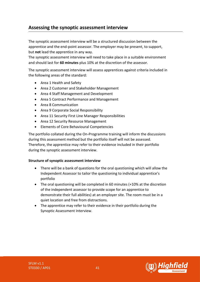# <span id="page-40-0"></span>**Assessing the synoptic assessment interview**

The synoptic assessment interview will be a structured discussion between the apprentice and the end-point assessor. The employer may be present, to support, but **not** lead the apprentice in any way.

The synoptic assessment interview will need to take place in a suitable environment and should last for **60 minutes** plus 10% at the discretion of the assessor.

The synoptic assessment interview will assess apprentices against criteria included in the following areas of the standard:

- Area 1 Health and Safety
- Area 2 Customer and Stakeholder Management
- Area 4 Staff Management and Development
- Area 5 Contract Performance and Management
- Area 8 Communication
- Area 9 Corporate Social Responsibility
- Area 11 Security First Line Manager Responsibilities
- Area 12 Security Resource Management
- Elements of Core Behavioural Competencies

The portfolio collated during the On-Programme training will inform the discussions during this assessment method but the portfolio itself will not be assessed. Therefore, the apprentice may refer to their evidence included in their portfolio during the synoptic assessment interview.

#### **Structure of synoptic assessment interview**

- There will be a bank of questions for the oral questioning which will allow the Independent Assessor to tailor the questioning to individual apprentice's portfolio
- The oral questioning will be completed in 60 minutes (+10% at the discretion of the independent assessor to provide scope for an apprentice to demonstrate their full abilities) at an employer site. The room must be in a quiet location and free from distractions.
- The apprentice may refer to their evidence in their portfolio during the Synoptic Assessment Interview.

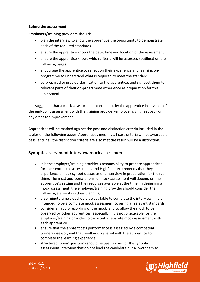#### **Before the assessment**

#### **Employers/training providers should:**

- plan the interview to allow the apprentice the opportunity to demonstrate each of the required standards
- ensure the apprentice knows the date, time and location of the assessment
- ensure the apprentice knows which criteria will be assessed (outlined on the following pages)
- encourage the apprentice to reflect on their experience and learning onprogramme to understand what is required to meet the standard
- be prepared to provide clarification to the apprentice, and signpost them to relevant parts of their on-programme experience as preparation for this assessment

It is suggested that a mock assessment is carried out by the apprentice in advance of the end-point assessment with the training provider/employer giving feedback on any areas for improvement.

Apprentices will be marked against the pass and distinction criteria included in the tables on the following pages. Apprentices meeting all pass criteria will be awarded a pass, and if all the distinction criteria are also met the result will be a distinction.

#### **Synoptic assessment interview mock assessment**

- It is the employer/training provider's responsibility to prepare apprentices for their end-point assessment, and Highfield recommends that they experience a mock synoptic assessment interview in preparation for the real thing. The most appropriate form of mock assessment will depend on the apprentice's setting and the resources available at the time. In designing a mock assessment, the employer/training provider should consider the following elements in their planning:
- a 60-minute time slot should be available to complete the interview, if it is intended to be a complete mock assessment covering all relevant standards.
- consider an audio recording of the mock, and to allow the mock to be observed by other apprentices, especially if it is not practicable for the employer/training provider to carry out a separate mock assessment with each apprentice
- ensure that the apprentice's performance is assessed by a competent trainer/assessor, and that feedback is shared with the apprentice to complete the learning experience.
- structured 'open' questions should be used as part of the synoptic assessment interview that do not lead the candidate but allows them to

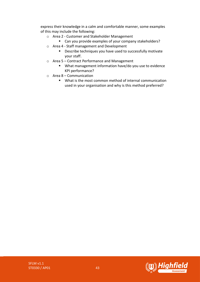express their knowledge in a calm and comfortable manner, some examples of this may include the following:

- o Area 2 Customer and Stakeholder Management
	- Can you provide examples of your company stakeholders?
- o Area 4 Staff management and Development
	- Describe techniques you have used to successfully motivate your staff.
- o Area 5 Contract Performance and Management
	- What management information have/do you use to evidence KPI performance?
- o Area 8 Communication
	- What is the most common method of internal communication used in your organisation and why is this method preferred?

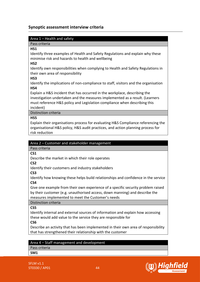#### **Synoptic assessment interview criteria**

#### Area 1 – Health and safety

Pass criteria

#### **HS1**

Identify three examples of Health and Safety Regulations and explain why these minimise risk and hazards to health and wellbeing

#### **HS2**

Identify own responsibilities when complying to Health and Safety Regulations in their own area of responsibility

#### **HS3**

Identify the implications of non-compliance to staff, visitors and the organisation **HS4**

Explain a H&S incident that has occurred in the workplace, describing the investigation undertaken and the measures implemented as a result. (Learners must reference H&S policy and Legislation compliance when describing this incident)

Distinction criteria

#### **HS5**

Explain their organisations process for evaluating H&S Compliance referencing the organisational H&S policy, H&S audit practices, and action planning process for risk reduction

#### Area 2 – Customer and stakeholder management

Pass criteria

**CS1**

Describe the market in which their role operates

**CS2**

Identify their customers and industry stakeholders

**CS3**

Identify how knowing these helps build relationships and confidence in the service **CS4**

Give one example from their own experience of a specific security problem raised by their customer (e.g. unauthorised access, down manning) and describe the measures implemented to meet the Customer's needs

Distinction criteria

**CS5**

Identify internal and external sources of information and explain how accessing these would add value to the service they are responsible for

**CS6**

Describe an activity that has been implemented in their own area of responsibility that has strengthened their relationship with the customer

#### Area 4 – Staff management and development

Pass criteria

**SM1**

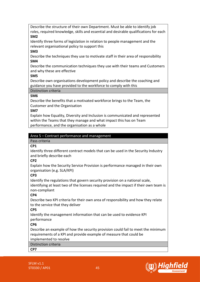Describe the structure of their own Department. Must be able to identify job roles, required knowledge, skills and essential and desirable qualifications for each **SM2**

Identify three forms of legislation in relation to people management and the relevant organisational policy to support this

#### **SM3**

Describe the techniques they use to motivate staff in their area of responsibility **SM4**

Describe the communication techniques they use with their teams and Customers and why these are effective

#### **SM5**

Describe own organisations development policy and describe the coaching and guidance you have provided to the workforce to comply with this

#### Distinction criteria

#### **SM6**

Describe the benefits that a motivated workforce brings to the Team, the Customer and the Organisation

#### **SM7**

Explain how Equality, Diversity and Inclusion is communicated and represented within the Teams that they manage and what impact this has on Team performance, and the organisation as a whole

#### Area 5 – Contract performance and management

#### Pass criteria

#### **CP1**

Identify three different contract models that can be used in the Security Industry and briefly describe each

#### **CP2**

Explain how the Security Service Provision is performance managed in their own organisation (e.g. SLA/KPI)

#### **CP3**

Identify the regulations that govern security provision on a national scale, identifying at least two of the licenses required and the impact if their own team is non-compliant

#### **CP4**

Describe two KPI criteria for their own area of responsibility and how they relate to the service that they deliver

#### **CP5**

Identify the management information that can be used to evidence KPI performance

#### **CP6**

Describe an example of how the security provision could fail to meet the minimum requirements of a KPI and provide example of measure that could be

### implemented to resolve

Distinction criteria

#### **CP7**

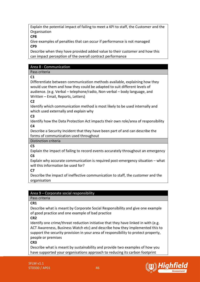Explain the potential impact of failing to meet a KPI to staff, the Customer and the Organisation

**CP8** 

Give examples of penalties that can occur if performance is not managed **CP9** 

Describe when they have provided added value to their customer and how this can impact perception of the overall contract performance

#### Area 8 - Communication

Pass criteria

**C1** 

Differentiate between communication methods available, explaining how they would use them and how they could be adapted to suit different levels of audience. (e.g. Verbal – telephone/radio, Non-verbal – body language, and Written – Email, Reports, Letters)

**C2** 

Identify which communication method is most likely to be used internally and which used externally and explain why

**C3**

Identify how the Data Protection Act impacts their own role/area of responsibility **C4** 

Describe a Security Incident that they have been part of and can describe the forms of communication used throughout

Distinction criteria

**C5** 

Explain the impact of failing to record events accurately throughout an emergency **C6** 

Explain why accurate communication is required post-emergency situation – what will this information be used for?

**C7** 

Describe the impact of ineffective communication to staff, the customer and the organisation

#### Area 9 – Corporate social responsibility

Pass criteria

**CR1** 

Describe what is meant by Corporate Social Responsibility and give one example of good practice and one example of bad practice

**CR2** 

Identify one crime/threat reduction initiative that they have linked in with (e.g. ACT Awareness, Business Watch etc) and describe how they implemented this to support the security provision in your area of responsibility to protect property, people or premises

**CR3** 

Describe what is meant by sustainability and provide two examples of how you have supported your organisations approach to reducing its carbon footprint

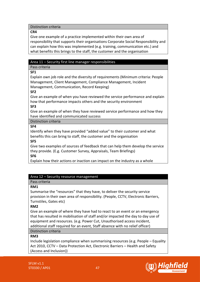#### Distinction criteria

#### **CR4**

Give one example of a practice implemented within their own area of responsibility that supports their organisations Corporate Social Responsibility and can explain how this was implemented (e.g. training, communication etc.) and what benefits this brings to the staff, the customer and the organisation

#### Area 11 – Security first line manager responsibilities

#### Pass criteria

**SF1** 

Explain own job role and the diversity of requirements (Minimum criteria: People Management, Client Management, Compliance Management, Incident Management, Communication, Record Keeping)

#### **SF2**

Give an example of when you have reviewed the service performance and explain how that performance impacts others and the security environment **SF3** 

Give an example of when they have reviewed service performance and how they have identified and communicated success

#### Distinction criteria

#### **SF4**

Identify when they have provided "added value" to their customer and what benefits this can bring to staff, the customer and the organisation

#### **SF5**

Give two examples of sources of feedback that can help them develop the service they provide. (E.g. Customer Survey, Appraisals, Team Briefings) **SF6** 

Explain how their actions or inaction can impact on the industry as a whole

#### Area 12 – Security resource management

### Pass criteria

#### **RM1**

Summarise the "resources" that they have, to deliver the security service provision in their own area of responsibility. (People, CCTV, Electronic Barriers, Turnstiles, Gates etc)

#### **RM2**

Give an example of where they have had to react to an event or an emergency that has resulted in mobilisation of staff and/or impacted the day to day use of equipment and resources. (e.g. Power Cut, Unauthorised access incident, additional staff required for an event, Staff absence with no relief officer) Distinction criteria

#### **RM3**

Include legislation compliance when summarising resources (e.g. People – Equality Act 2010, CCTV – Data Protection Act, Electronic Barriers – Health and Safety (Access and Inclusion))